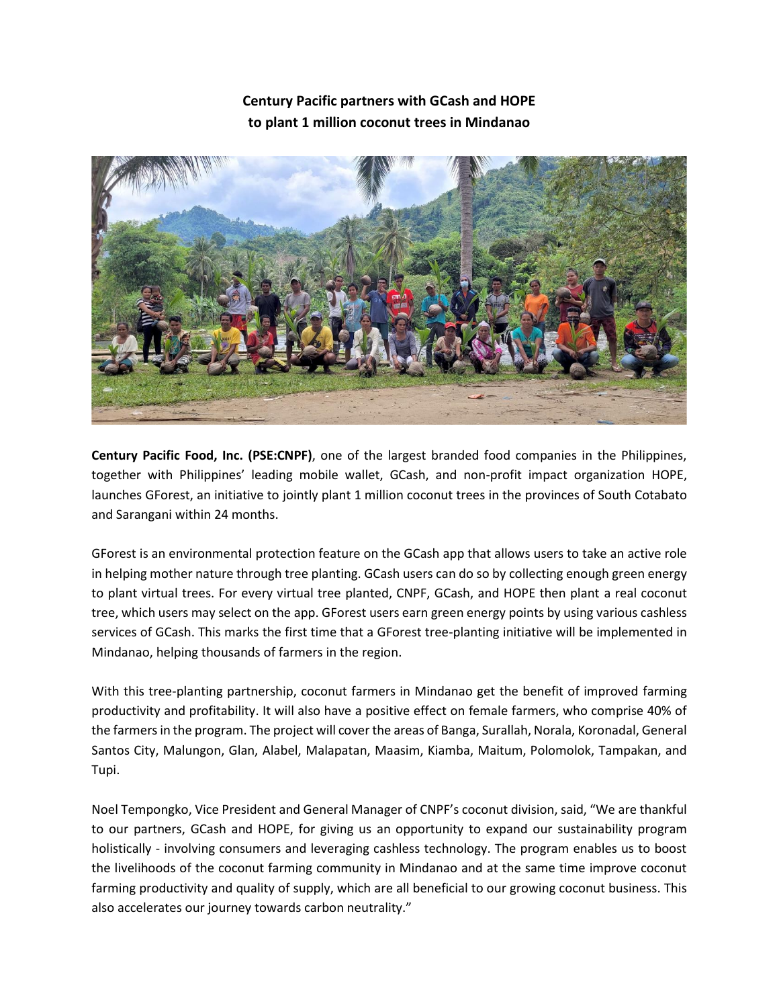## **Century Pacific partners with GCash and HOPE to plant 1 million coconut trees in Mindanao**



**Century Pacific Food, Inc. (PSE:CNPF)**, one of the largest branded food companies in the Philippines, together with Philippines' leading mobile wallet, GCash, and non-profit impact organization HOPE, launches GForest, an initiative to jointly plant 1 million coconut trees in the provinces of South Cotabato and Sarangani within 24 months.

GForest is an environmental protection feature on the GCash app that allows users to take an active role in helping mother nature through tree planting. GCash users can do so by collecting enough green energy to plant virtual trees. For every virtual tree planted, CNPF, GCash, and HOPE then plant a real coconut tree, which users may select on the app. GForest users earn green energy points by using various cashless services of GCash. This marks the first time that a GForest tree-planting initiative will be implemented in Mindanao, helping thousands of farmers in the region.

With this tree-planting partnership, coconut farmers in Mindanao get the benefit of improved farming productivity and profitability. It will also have a positive effect on female farmers, who comprise 40% of the farmers in the program. The project will cover the areas of Banga, Surallah, Norala, Koronadal, General Santos City, Malungon, Glan, Alabel, Malapatan, Maasim, Kiamba, Maitum, Polomolok, Tampakan, and Tupi.

Noel Tempongko, Vice President and General Manager of CNPF's coconut division, said, "We are thankful to our partners, GCash and HOPE, for giving us an opportunity to expand our sustainability program holistically - involving consumers and leveraging cashless technology. The program enables us to boost the livelihoods of the coconut farming community in Mindanao and at the same time improve coconut farming productivity and quality of supply, which are all beneficial to our growing coconut business. This also accelerates our journey towards carbon neutrality."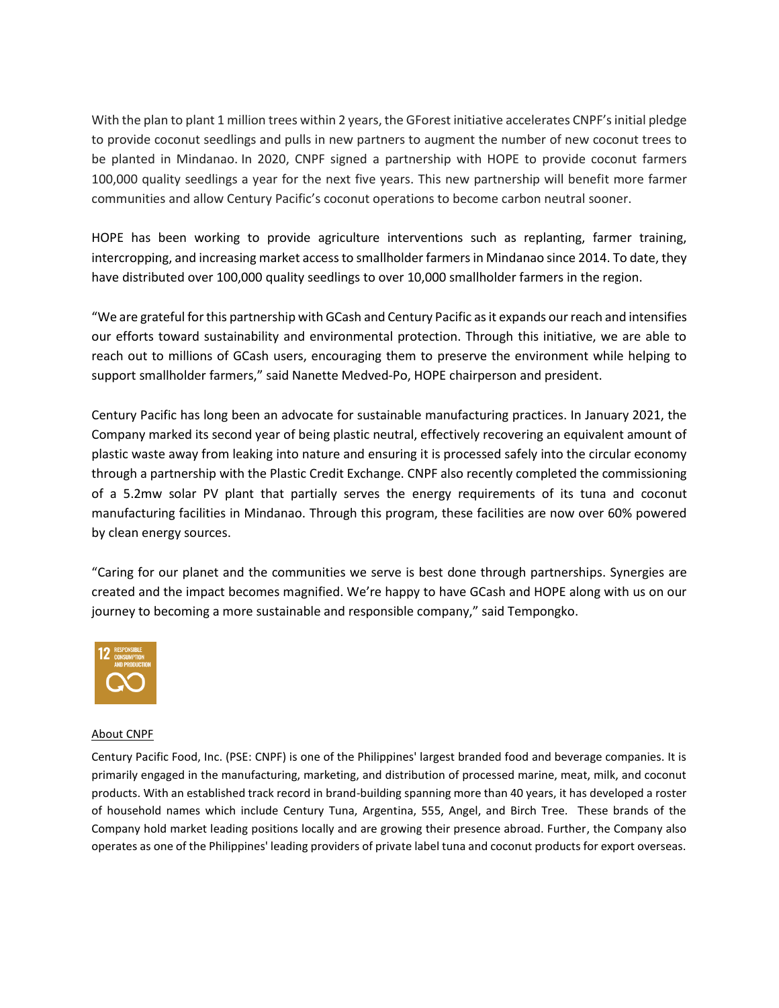With the plan to plant 1 million trees within 2 years, the GForest initiative accelerates CNPF's initial pledge to provide coconut seedlings and pulls in new partners to augment the number of new coconut trees to be planted in Mindanao. In 2020, CNPF signed a partnership with HOPE to provide coconut farmers 100,000 quality seedlings a year for the next five years. This new partnership will benefit more farmer communities and allow Century Pacific's coconut operations to become carbon neutral sooner.

HOPE has been working to provide agriculture interventions such as replanting, farmer training, intercropping, and increasing market access to smallholder farmers in Mindanao since 2014. To date, they have distributed over 100,000 quality seedlings to over 10,000 smallholder farmers in the region.

"We are grateful for this partnership with GCash and Century Pacific as it expands our reach and intensifies our efforts toward sustainability and environmental protection. Through this initiative, we are able to reach out to millions of GCash users, encouraging them to preserve the environment while helping to support smallholder farmers," said Nanette Medved-Po, HOPE chairperson and president.

Century Pacific has long been an advocate for sustainable manufacturing practices. In January 2021, the Company marked its second year of being plastic neutral, effectively recovering an equivalent amount of plastic waste away from leaking into nature and ensuring it is processed safely into the circular economy through a partnership with the Plastic Credit Exchange. CNPF also recently completed the commissioning of a 5.2mw solar PV plant that partially serves the energy requirements of its tuna and coconut manufacturing facilities in Mindanao. Through this program, these facilities are now over 60% powered by clean energy sources.

"Caring for our planet and the communities we serve is best done through partnerships. Synergies are created and the impact becomes magnified. We're happy to have GCash and HOPE along with us on our journey to becoming a more sustainable and responsible company," said Tempongko.



## About CNPF

Century Pacific Food, Inc. (PSE: CNPF) is one of the Philippines' largest branded food and beverage companies. It is primarily engaged in the manufacturing, marketing, and distribution of processed marine, meat, milk, and coconut products. With an established track record in brand-building spanning more than 40 years, it has developed a roster of household names which include Century Tuna, Argentina, 555, Angel, and Birch Tree. These brands of the Company hold market leading positions locally and are growing their presence abroad. Further, the Company also operates as one of the Philippines' leading providers of private label tuna and coconut products for export overseas.